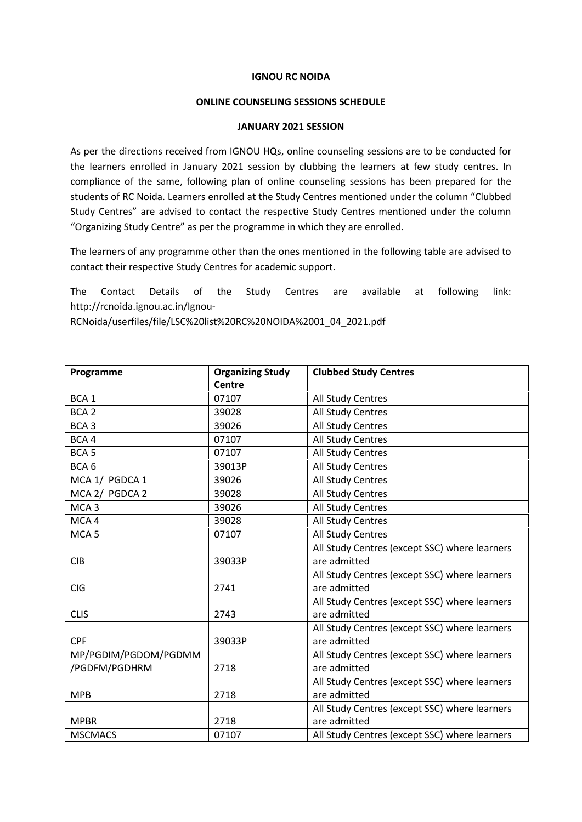## **IGNOU RC NOIDA**

## **ONLINE COUNSELING SESSIONS SCHEDULE**

## **JANUARY 2021 SESSION**

As per the directions received from IGNOU HQs, online counseling sessions are to be conducted for the learners enrolled in January 2021 session by clubbing the learners at few study centres. In compliance of the same, following plan of online counseling sessions has been prepared for the students of RC Noida. Learners enrolled at the Study Centres mentioned under the column "Clubbed Study Centres" are advised to contact the respective Study Centres mentioned under the column "Organizing Study Centre" as per the programme in which they are enrolled.

The learners of any programme other than the ones mentioned in the following table are advised to contact their respective Study Centres for academic support.

The Contact Details of the Study Centres are available at following link: http://rcnoida.ignou.ac.in/Ignou-

RCNoida/userfiles/file/LSC%20list%20RC%20NOIDA%2001\_04\_2021.pdf

| Programme            | <b>Organizing Study</b> | <b>Clubbed Study Centres</b>                  |
|----------------------|-------------------------|-----------------------------------------------|
|                      | Centre                  |                                               |
| BCA <sub>1</sub>     | 07107                   | All Study Centres                             |
| BCA <sub>2</sub>     | 39028                   | All Study Centres                             |
| BCA <sub>3</sub>     | 39026                   | All Study Centres                             |
| BCA4                 | 07107                   | All Study Centres                             |
| BCA <sub>5</sub>     | 07107                   | All Study Centres                             |
| BCA <sub>6</sub>     | 39013P                  | All Study Centres                             |
| MCA 1/ PGDCA 1       | 39026                   | All Study Centres                             |
| MCA 2/ PGDCA 2       | 39028                   | All Study Centres                             |
| MCA <sub>3</sub>     | 39026                   | All Study Centres                             |
| MCA4                 | 39028                   | All Study Centres                             |
| MCA <sub>5</sub>     | 07107                   | All Study Centres                             |
|                      |                         | All Study Centres (except SSC) where learners |
| <b>CIB</b>           | 39033P                  | are admitted                                  |
|                      |                         | All Study Centres (except SSC) where learners |
| <b>CIG</b>           | 2741                    | are admitted                                  |
|                      |                         | All Study Centres (except SSC) where learners |
| <b>CLIS</b>          | 2743                    | are admitted                                  |
|                      |                         | All Study Centres (except SSC) where learners |
| <b>CPF</b>           | 39033P                  | are admitted                                  |
| MP/PGDIM/PGDOM/PGDMM |                         | All Study Centres (except SSC) where learners |
| /PGDFM/PGDHRM        | 2718                    | are admitted                                  |
|                      |                         | All Study Centres (except SSC) where learners |
| <b>MPB</b>           | 2718                    | are admitted                                  |
|                      |                         | All Study Centres (except SSC) where learners |
| <b>MPBR</b>          | 2718                    | are admitted                                  |
| <b>MSCMACS</b>       | 07107                   | All Study Centres (except SSC) where learners |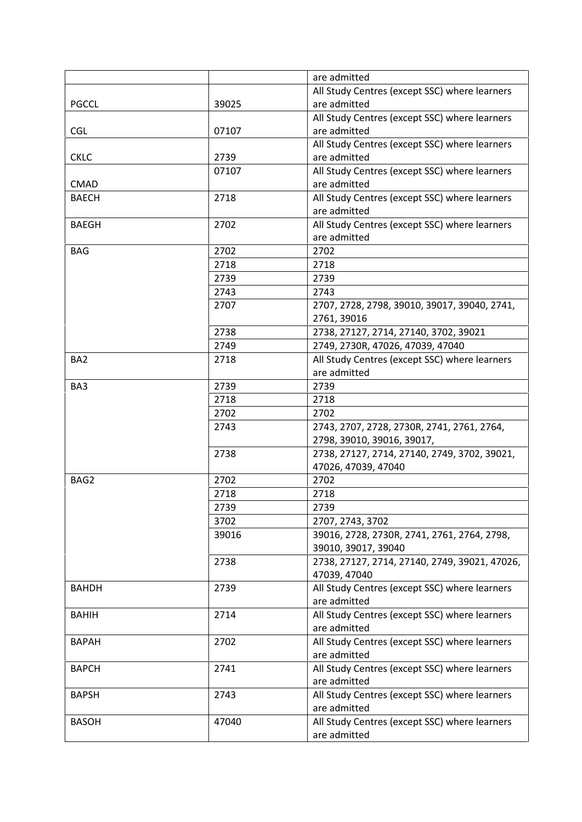|                 |       | are admitted                                                               |
|-----------------|-------|----------------------------------------------------------------------------|
|                 |       | All Study Centres (except SSC) where learners                              |
| <b>PGCCL</b>    | 39025 | are admitted                                                               |
|                 |       | All Study Centres (except SSC) where learners                              |
| <b>CGL</b>      | 07107 | are admitted                                                               |
|                 |       | All Study Centres (except SSC) where learners                              |
| <b>CKLC</b>     | 2739  | are admitted                                                               |
|                 | 07107 | All Study Centres (except SSC) where learners                              |
| <b>CMAD</b>     |       | are admitted                                                               |
| <b>BAECH</b>    | 2718  | All Study Centres (except SSC) where learners                              |
|                 |       | are admitted                                                               |
| <b>BAEGH</b>    | 2702  | All Study Centres (except SSC) where learners                              |
|                 |       | are admitted                                                               |
| <b>BAG</b>      | 2702  | 2702                                                                       |
|                 | 2718  | 2718                                                                       |
|                 | 2739  | 2739                                                                       |
|                 | 2743  | 2743                                                                       |
|                 | 2707  | 2707, 2728, 2798, 39010, 39017, 39040, 2741,                               |
|                 |       | 2761, 39016                                                                |
|                 | 2738  | 2738, 27127, 2714, 27140, 3702, 39021                                      |
|                 | 2749  | 2749, 2730R, 47026, 47039, 47040                                           |
| BA <sub>2</sub> | 2718  | All Study Centres (except SSC) where learners                              |
|                 |       | are admitted                                                               |
| BA3             | 2739  | 2739                                                                       |
|                 | 2718  | 2718                                                                       |
|                 | 2702  | 2702                                                                       |
|                 | 2743  |                                                                            |
|                 |       | 2743, 2707, 2728, 2730R, 2741, 2761, 2764,                                 |
|                 | 2738  | 2798, 39010, 39016, 39017,<br>2738, 27127, 2714, 27140, 2749, 3702, 39021, |
|                 |       | 47026, 47039, 47040                                                        |
| BAG2            |       |                                                                            |
|                 | 2702  | 2702                                                                       |
|                 | 2718  | 2718                                                                       |
|                 | 2739  | 2739                                                                       |
|                 | 3702  | 2707, 2743, 3702                                                           |
|                 | 39016 | 39016, 2728, 2730R, 2741, 2761, 2764, 2798,                                |
|                 |       | 39010, 39017, 39040                                                        |
|                 | 2738  | 2738, 27127, 2714, 27140, 2749, 39021, 47026,                              |
|                 |       | 47039, 47040                                                               |
| <b>BAHDH</b>    | 2739  | All Study Centres (except SSC) where learners                              |
|                 |       | are admitted                                                               |
| <b>BAHIH</b>    | 2714  | All Study Centres (except SSC) where learners                              |
|                 |       | are admitted                                                               |
| <b>BAPAH</b>    | 2702  | All Study Centres (except SSC) where learners                              |
|                 |       | are admitted                                                               |
| <b>BAPCH</b>    | 2741  | All Study Centres (except SSC) where learners                              |
|                 |       | are admitted                                                               |
| <b>BAPSH</b>    | 2743  | All Study Centres (except SSC) where learners                              |
|                 |       | are admitted                                                               |
| <b>BASOH</b>    | 47040 | All Study Centres (except SSC) where learners                              |
|                 |       | are admitted                                                               |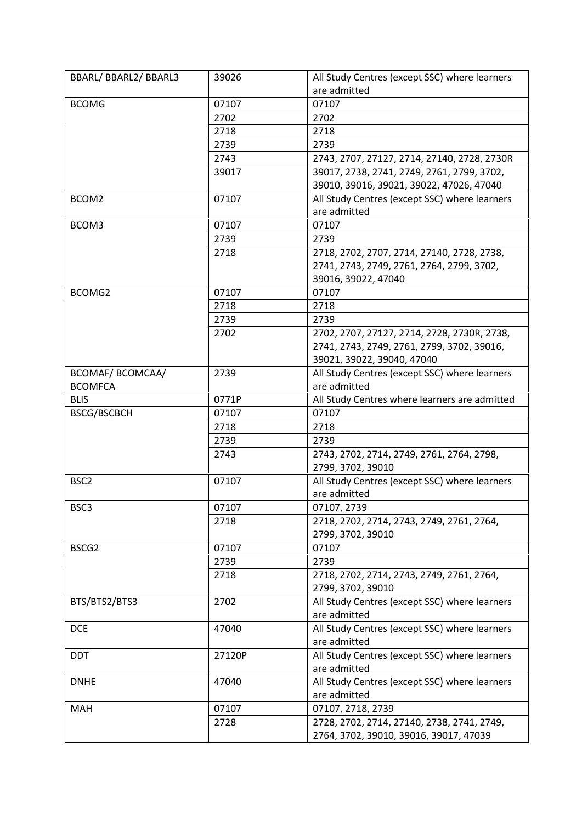| <b>BCOMG</b><br>07107<br>07107<br>2702<br>2702<br>2718<br>2718<br>2739<br>2739<br>2743<br>2743, 2707, 27127, 2714, 27140, 2728, 2730R<br>39017, 2738, 2741, 2749, 2761, 2799, 3702,<br>39017<br>39010, 39016, 39021, 39022, 47026, 47040<br>07107<br>All Study Centres (except SSC) where learners<br>BCOM2<br>are admitted<br>07107<br>BCOM3<br>07107<br>2739<br>2739<br>2718<br>2718, 2702, 2707, 2714, 27140, 2728, 2738,<br>2741, 2743, 2749, 2761, 2764, 2799, 3702,<br>39016, 39022, 47040<br>07107<br>BCOMG2<br>07107<br>2718<br>2718<br>2739<br>2739<br>2702<br>2702, 2707, 27127, 2714, 2728, 2730R, 2738,<br>2741, 2743, 2749, 2761, 2799, 3702, 39016,<br>39021, 39022, 39040, 47040<br>BCOMAF/ BCOMCAA/<br>2739<br>All Study Centres (except SSC) where learners<br><b>BCOMFCA</b><br>are admitted<br>0771P<br><b>BLIS</b><br>All Study Centres where learners are admitted<br><b>BSCG/BSCBCH</b><br>07107<br>07107<br>2718<br>2718<br>2739<br>2739<br>2743<br>2743, 2702, 2714, 2749, 2761, 2764, 2798,<br>2799, 3702, 39010<br>All Study Centres (except SSC) where learners<br>BSC <sub>2</sub><br>07107<br>are admitted<br>BSC3<br>07107<br>07107, 2739<br>2718<br>2718, 2702, 2714, 2743, 2749, 2761, 2764,<br>2799, 3702, 39010<br>BSCG2<br>07107<br>07107<br>2739<br>2739<br>2718<br>2718, 2702, 2714, 2743, 2749, 2761, 2764,<br>2799, 3702, 39010<br>BTS/BTS2/BTS3<br>2702<br>All Study Centres (except SSC) where learners<br>are admitted<br>All Study Centres (except SSC) where learners<br><b>DCE</b><br>47040<br>are admitted<br><b>DDT</b><br>All Study Centres (except SSC) where learners<br>27120P<br>are admitted<br>47040<br>All Study Centres (except SSC) where learners<br><b>DNHE</b><br>are admitted<br>07107<br><b>MAH</b><br>07107, 2718, 2739<br>2728<br>2728, 2702, 2714, 27140, 2738, 2741, 2749,<br>2764, 3702, 39010, 39016, 39017, 47039 | BBARL/ BBARL2/ BBARL3 | 39026 | All Study Centres (except SSC) where learners |
|----------------------------------------------------------------------------------------------------------------------------------------------------------------------------------------------------------------------------------------------------------------------------------------------------------------------------------------------------------------------------------------------------------------------------------------------------------------------------------------------------------------------------------------------------------------------------------------------------------------------------------------------------------------------------------------------------------------------------------------------------------------------------------------------------------------------------------------------------------------------------------------------------------------------------------------------------------------------------------------------------------------------------------------------------------------------------------------------------------------------------------------------------------------------------------------------------------------------------------------------------------------------------------------------------------------------------------------------------------------------------------------------------------------------------------------------------------------------------------------------------------------------------------------------------------------------------------------------------------------------------------------------------------------------------------------------------------------------------------------------------------------------------------------------------------------------------------------------------------------------------------------|-----------------------|-------|-----------------------------------------------|
|                                                                                                                                                                                                                                                                                                                                                                                                                                                                                                                                                                                                                                                                                                                                                                                                                                                                                                                                                                                                                                                                                                                                                                                                                                                                                                                                                                                                                                                                                                                                                                                                                                                                                                                                                                                                                                                                                        |                       |       | are admitted                                  |
|                                                                                                                                                                                                                                                                                                                                                                                                                                                                                                                                                                                                                                                                                                                                                                                                                                                                                                                                                                                                                                                                                                                                                                                                                                                                                                                                                                                                                                                                                                                                                                                                                                                                                                                                                                                                                                                                                        |                       |       |                                               |
|                                                                                                                                                                                                                                                                                                                                                                                                                                                                                                                                                                                                                                                                                                                                                                                                                                                                                                                                                                                                                                                                                                                                                                                                                                                                                                                                                                                                                                                                                                                                                                                                                                                                                                                                                                                                                                                                                        |                       |       |                                               |
|                                                                                                                                                                                                                                                                                                                                                                                                                                                                                                                                                                                                                                                                                                                                                                                                                                                                                                                                                                                                                                                                                                                                                                                                                                                                                                                                                                                                                                                                                                                                                                                                                                                                                                                                                                                                                                                                                        |                       |       |                                               |
|                                                                                                                                                                                                                                                                                                                                                                                                                                                                                                                                                                                                                                                                                                                                                                                                                                                                                                                                                                                                                                                                                                                                                                                                                                                                                                                                                                                                                                                                                                                                                                                                                                                                                                                                                                                                                                                                                        |                       |       |                                               |
|                                                                                                                                                                                                                                                                                                                                                                                                                                                                                                                                                                                                                                                                                                                                                                                                                                                                                                                                                                                                                                                                                                                                                                                                                                                                                                                                                                                                                                                                                                                                                                                                                                                                                                                                                                                                                                                                                        |                       |       |                                               |
|                                                                                                                                                                                                                                                                                                                                                                                                                                                                                                                                                                                                                                                                                                                                                                                                                                                                                                                                                                                                                                                                                                                                                                                                                                                                                                                                                                                                                                                                                                                                                                                                                                                                                                                                                                                                                                                                                        |                       |       |                                               |
|                                                                                                                                                                                                                                                                                                                                                                                                                                                                                                                                                                                                                                                                                                                                                                                                                                                                                                                                                                                                                                                                                                                                                                                                                                                                                                                                                                                                                                                                                                                                                                                                                                                                                                                                                                                                                                                                                        |                       |       |                                               |
|                                                                                                                                                                                                                                                                                                                                                                                                                                                                                                                                                                                                                                                                                                                                                                                                                                                                                                                                                                                                                                                                                                                                                                                                                                                                                                                                                                                                                                                                                                                                                                                                                                                                                                                                                                                                                                                                                        |                       |       |                                               |
|                                                                                                                                                                                                                                                                                                                                                                                                                                                                                                                                                                                                                                                                                                                                                                                                                                                                                                                                                                                                                                                                                                                                                                                                                                                                                                                                                                                                                                                                                                                                                                                                                                                                                                                                                                                                                                                                                        |                       |       |                                               |
|                                                                                                                                                                                                                                                                                                                                                                                                                                                                                                                                                                                                                                                                                                                                                                                                                                                                                                                                                                                                                                                                                                                                                                                                                                                                                                                                                                                                                                                                                                                                                                                                                                                                                                                                                                                                                                                                                        |                       |       |                                               |
|                                                                                                                                                                                                                                                                                                                                                                                                                                                                                                                                                                                                                                                                                                                                                                                                                                                                                                                                                                                                                                                                                                                                                                                                                                                                                                                                                                                                                                                                                                                                                                                                                                                                                                                                                                                                                                                                                        |                       |       |                                               |
|                                                                                                                                                                                                                                                                                                                                                                                                                                                                                                                                                                                                                                                                                                                                                                                                                                                                                                                                                                                                                                                                                                                                                                                                                                                                                                                                                                                                                                                                                                                                                                                                                                                                                                                                                                                                                                                                                        |                       |       |                                               |
|                                                                                                                                                                                                                                                                                                                                                                                                                                                                                                                                                                                                                                                                                                                                                                                                                                                                                                                                                                                                                                                                                                                                                                                                                                                                                                                                                                                                                                                                                                                                                                                                                                                                                                                                                                                                                                                                                        |                       |       |                                               |
|                                                                                                                                                                                                                                                                                                                                                                                                                                                                                                                                                                                                                                                                                                                                                                                                                                                                                                                                                                                                                                                                                                                                                                                                                                                                                                                                                                                                                                                                                                                                                                                                                                                                                                                                                                                                                                                                                        |                       |       |                                               |
|                                                                                                                                                                                                                                                                                                                                                                                                                                                                                                                                                                                                                                                                                                                                                                                                                                                                                                                                                                                                                                                                                                                                                                                                                                                                                                                                                                                                                                                                                                                                                                                                                                                                                                                                                                                                                                                                                        |                       |       |                                               |
|                                                                                                                                                                                                                                                                                                                                                                                                                                                                                                                                                                                                                                                                                                                                                                                                                                                                                                                                                                                                                                                                                                                                                                                                                                                                                                                                                                                                                                                                                                                                                                                                                                                                                                                                                                                                                                                                                        |                       |       |                                               |
|                                                                                                                                                                                                                                                                                                                                                                                                                                                                                                                                                                                                                                                                                                                                                                                                                                                                                                                                                                                                                                                                                                                                                                                                                                                                                                                                                                                                                                                                                                                                                                                                                                                                                                                                                                                                                                                                                        |                       |       |                                               |
|                                                                                                                                                                                                                                                                                                                                                                                                                                                                                                                                                                                                                                                                                                                                                                                                                                                                                                                                                                                                                                                                                                                                                                                                                                                                                                                                                                                                                                                                                                                                                                                                                                                                                                                                                                                                                                                                                        |                       |       |                                               |
|                                                                                                                                                                                                                                                                                                                                                                                                                                                                                                                                                                                                                                                                                                                                                                                                                                                                                                                                                                                                                                                                                                                                                                                                                                                                                                                                                                                                                                                                                                                                                                                                                                                                                                                                                                                                                                                                                        |                       |       |                                               |
|                                                                                                                                                                                                                                                                                                                                                                                                                                                                                                                                                                                                                                                                                                                                                                                                                                                                                                                                                                                                                                                                                                                                                                                                                                                                                                                                                                                                                                                                                                                                                                                                                                                                                                                                                                                                                                                                                        |                       |       |                                               |
|                                                                                                                                                                                                                                                                                                                                                                                                                                                                                                                                                                                                                                                                                                                                                                                                                                                                                                                                                                                                                                                                                                                                                                                                                                                                                                                                                                                                                                                                                                                                                                                                                                                                                                                                                                                                                                                                                        |                       |       |                                               |
|                                                                                                                                                                                                                                                                                                                                                                                                                                                                                                                                                                                                                                                                                                                                                                                                                                                                                                                                                                                                                                                                                                                                                                                                                                                                                                                                                                                                                                                                                                                                                                                                                                                                                                                                                                                                                                                                                        |                       |       |                                               |
|                                                                                                                                                                                                                                                                                                                                                                                                                                                                                                                                                                                                                                                                                                                                                                                                                                                                                                                                                                                                                                                                                                                                                                                                                                                                                                                                                                                                                                                                                                                                                                                                                                                                                                                                                                                                                                                                                        |                       |       |                                               |
|                                                                                                                                                                                                                                                                                                                                                                                                                                                                                                                                                                                                                                                                                                                                                                                                                                                                                                                                                                                                                                                                                                                                                                                                                                                                                                                                                                                                                                                                                                                                                                                                                                                                                                                                                                                                                                                                                        |                       |       |                                               |
|                                                                                                                                                                                                                                                                                                                                                                                                                                                                                                                                                                                                                                                                                                                                                                                                                                                                                                                                                                                                                                                                                                                                                                                                                                                                                                                                                                                                                                                                                                                                                                                                                                                                                                                                                                                                                                                                                        |                       |       |                                               |
|                                                                                                                                                                                                                                                                                                                                                                                                                                                                                                                                                                                                                                                                                                                                                                                                                                                                                                                                                                                                                                                                                                                                                                                                                                                                                                                                                                                                                                                                                                                                                                                                                                                                                                                                                                                                                                                                                        |                       |       |                                               |
|                                                                                                                                                                                                                                                                                                                                                                                                                                                                                                                                                                                                                                                                                                                                                                                                                                                                                                                                                                                                                                                                                                                                                                                                                                                                                                                                                                                                                                                                                                                                                                                                                                                                                                                                                                                                                                                                                        |                       |       |                                               |
|                                                                                                                                                                                                                                                                                                                                                                                                                                                                                                                                                                                                                                                                                                                                                                                                                                                                                                                                                                                                                                                                                                                                                                                                                                                                                                                                                                                                                                                                                                                                                                                                                                                                                                                                                                                                                                                                                        |                       |       |                                               |
|                                                                                                                                                                                                                                                                                                                                                                                                                                                                                                                                                                                                                                                                                                                                                                                                                                                                                                                                                                                                                                                                                                                                                                                                                                                                                                                                                                                                                                                                                                                                                                                                                                                                                                                                                                                                                                                                                        |                       |       |                                               |
|                                                                                                                                                                                                                                                                                                                                                                                                                                                                                                                                                                                                                                                                                                                                                                                                                                                                                                                                                                                                                                                                                                                                                                                                                                                                                                                                                                                                                                                                                                                                                                                                                                                                                                                                                                                                                                                                                        |                       |       |                                               |
|                                                                                                                                                                                                                                                                                                                                                                                                                                                                                                                                                                                                                                                                                                                                                                                                                                                                                                                                                                                                                                                                                                                                                                                                                                                                                                                                                                                                                                                                                                                                                                                                                                                                                                                                                                                                                                                                                        |                       |       |                                               |
|                                                                                                                                                                                                                                                                                                                                                                                                                                                                                                                                                                                                                                                                                                                                                                                                                                                                                                                                                                                                                                                                                                                                                                                                                                                                                                                                                                                                                                                                                                                                                                                                                                                                                                                                                                                                                                                                                        |                       |       |                                               |
|                                                                                                                                                                                                                                                                                                                                                                                                                                                                                                                                                                                                                                                                                                                                                                                                                                                                                                                                                                                                                                                                                                                                                                                                                                                                                                                                                                                                                                                                                                                                                                                                                                                                                                                                                                                                                                                                                        |                       |       |                                               |
|                                                                                                                                                                                                                                                                                                                                                                                                                                                                                                                                                                                                                                                                                                                                                                                                                                                                                                                                                                                                                                                                                                                                                                                                                                                                                                                                                                                                                                                                                                                                                                                                                                                                                                                                                                                                                                                                                        |                       |       |                                               |
|                                                                                                                                                                                                                                                                                                                                                                                                                                                                                                                                                                                                                                                                                                                                                                                                                                                                                                                                                                                                                                                                                                                                                                                                                                                                                                                                                                                                                                                                                                                                                                                                                                                                                                                                                                                                                                                                                        |                       |       |                                               |
|                                                                                                                                                                                                                                                                                                                                                                                                                                                                                                                                                                                                                                                                                                                                                                                                                                                                                                                                                                                                                                                                                                                                                                                                                                                                                                                                                                                                                                                                                                                                                                                                                                                                                                                                                                                                                                                                                        |                       |       |                                               |